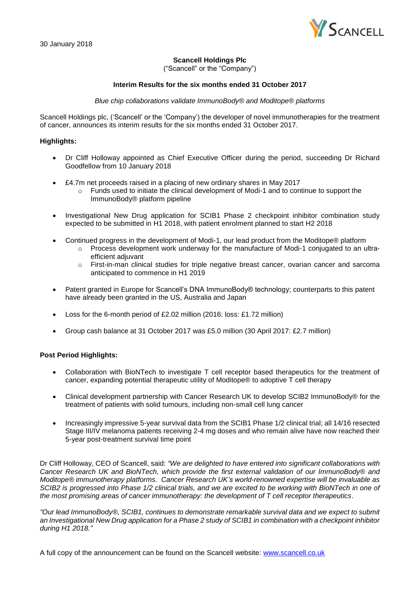

# **Scancell Holdings Plc**

("Scancell" or the "Company")

# **Interim Results for the six months ended 31 October 2017**

*Blue chip collaborations validate ImmunoBody® and Moditope® platforms*

Scancell Holdings plc, ('Scancell' or the 'Company') the developer of novel immunotherapies for the treatment of cancer, announces its interim results for the six months ended 31 October 2017.

# **Highlights:**

- Dr Cliff Holloway appointed as Chief Executive Officer during the period, succeeding Dr Richard Goodfellow from 10 January 2018
- £4.7m net proceeds raised in a placing of new ordinary shares in May 2017
	- $\circ$  Funds used to initiate the clinical development of Modi-1 and to continue to support the ImmunoBody® platform pipeline
- Investigational New Drug application for SCIB1 Phase 2 checkpoint inhibitor combination study expected to be submitted in H1 2018, with patient enrolment planned to start H2 2018
- Continued progress in the development of Modi-1, our lead product from the Moditope® platform
	- $\circ$  Process development work underway for the manufacture of Modi-1 conjugated to an ultraefficient adiuvant
	- o First-in-man clinical studies for triple negative breast cancer, ovarian cancer and sarcoma anticipated to commence in H1 2019
- Patent granted in Europe for Scancell's DNA ImmunoBody® technology; counterparts to this patent have already been granted in the US, Australia and Japan
- Loss for the 6-month period of £2.02 million (2016: loss: £1.72 million)
- Group cash balance at 31 October 2017 was £5.0 million (30 April 2017: £2.7 million)

### **Post Period Highlights:**

- Collaboration with BioNTech to investigate T cell receptor based therapeutics for the treatment of cancer, expanding potential therapeutic utility of Moditope® to adoptive T cell therapy
- Clinical development partnership with Cancer Research UK to develop SCIB2 ImmunoBody® for the treatment of patients with solid tumours, including non-small cell lung cancer
- Increasingly impressive 5-year survival data from the SCIB1 Phase 1/2 clinical trial; all 14/16 resected Stage III/IV melanoma patients receiving 2-4 mg doses and who remain alive have now reached their 5-year post-treatment survival time point

Dr Cliff Holloway, CEO of Scancell, said: *"We are delighted to have entered into significant collaborations with Cancer Research UK and BioNTech, which provide the first external validation of our ImmunoBody® and Moditope® immunotherapy platforms. Cancer Research UK's world-renowned expertise will be invaluable as SCIB2 is progressed into Phase 1/2 clinical trials, and we are excited to be working with BioNTech in one of the most promising areas of cancer immunotherapy: the development of T cell receptor therapeutics*.

*"Our lead ImmunoBody®, SCIB1, continues to demonstrate remarkable survival data and we expect to submit an Investigational New Drug application for a Phase 2 study of SCIB1 in combination with a checkpoint inhibitor during H1 2018."*

A full copy of the announcement can be found on the Scancell website: [www.scancell.co.uk](http://www.scancell.co.uk/)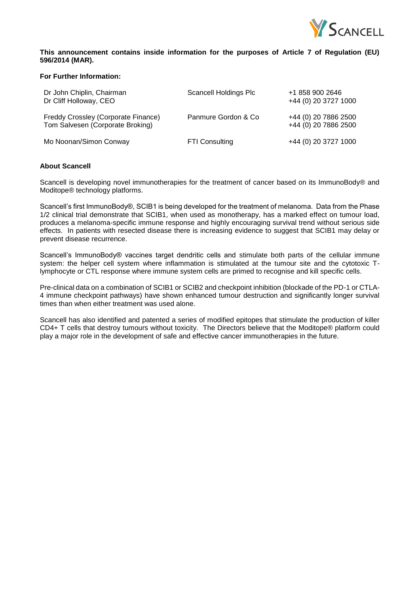

# **This announcement contains inside information for the purposes of Article 7 of Regulation (EU) 596/2014 (MAR).**

# **For Further Information:**

| Dr John Chiplin, Chairman<br>Dr Cliff Holloway, CEO                     | Scancell Holdings Plc | +1 858 900 2646<br>+44 (0) 20 3727 1000      |
|-------------------------------------------------------------------------|-----------------------|----------------------------------------------|
| Freddy Crossley (Corporate Finance)<br>Tom Salvesen (Corporate Broking) | Panmure Gordon & Co.  | +44 (0) 20 7886 2500<br>+44 (0) 20 7886 2500 |
| Mo Noonan/Simon Conway                                                  | <b>FTI Consulting</b> | +44 (0) 20 3727 1000                         |

### **About Scancell**

Scancell is developing novel immunotherapies for the treatment of cancer based on its ImmunoBody® and Moditope® technology platforms.

Scancell's first ImmunoBody®, SCIB1 is being developed for the treatment of melanoma. Data from the Phase 1/2 clinical trial demonstrate that SCIB1, when used as monotherapy, has a marked effect on tumour load, produces a melanoma-specific immune response and highly encouraging survival trend without serious side effects. In patients with resected disease there is increasing evidence to suggest that SCIB1 may delay or prevent disease recurrence.

Scancell's ImmunoBody® vaccines target dendritic cells and stimulate both parts of the cellular immune system: the helper cell system where inflammation is stimulated at the tumour site and the cytotoxic Tlymphocyte or CTL response where immune system cells are primed to recognise and kill specific cells.

Pre-clinical data on a combination of SCIB1 or SCIB2 and checkpoint inhibition (blockade of the PD-1 or CTLA-4 immune checkpoint pathways) have shown enhanced tumour destruction and significantly longer survival times than when either treatment was used alone.

Scancell has also identified and patented a series of modified epitopes that stimulate the production of killer CD4+ T cells that destroy tumours without toxicity. The Directors believe that the Moditope® platform could play a major role in the development of safe and effective cancer immunotherapies in the future.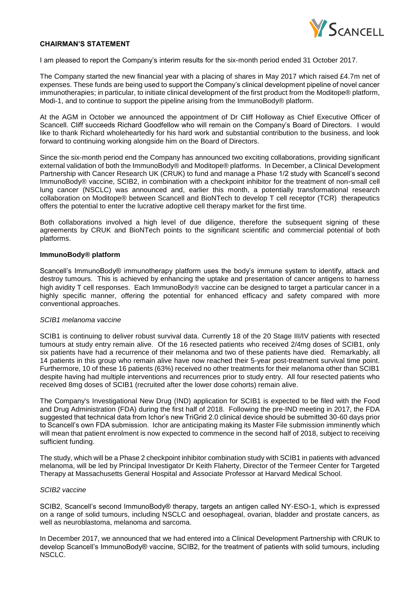

## **CHAIRMAN'S STATEMENT**

I am pleased to report the Company's interim results for the six-month period ended 31 October 2017.

The Company started the new financial year with a placing of shares in May 2017 which raised £4.7m net of expenses. These funds are being used to support the Company's clinical development pipeline of novel cancer immunotherapies; in particular, to initiate clinical development of the first product from the Moditope® platform, Modi-1, and to continue to support the pipeline arising from the ImmunoBody® platform.

At the AGM in October we announced the appointment of Dr Cliff Holloway as Chief Executive Officer of Scancell. Cliff succeeds Richard Goodfellow who will remain on the Company's Board of Directors. I would like to thank Richard wholeheartedly for his hard work and substantial contribution to the business, and look forward to continuing working alongside him on the Board of Directors.

Since the six-month period end the Company has announced two exciting collaborations, providing significant external validation of both the ImmunoBody® and Moditope® platforms. In December, a Clinical Development Partnership with Cancer Research UK (CRUK) to fund and manage a Phase 1/2 study with Scancell's second ImmunoBody® vaccine, SCIB2, in combination with a checkpoint inhibitor for the treatment of non-small cell lung cancer (NSCLC) was announced and, earlier this month, a potentially transformational research collaboration on Moditope® between Scancell and BioNTech to develop T cell receptor (TCR) therapeutics offers the potential to enter the lucrative adoptive cell therapy market for the first time.

Both collaborations involved a high level of due diligence, therefore the subsequent signing of these agreements by CRUK and BioNTech points to the significant scientific and commercial potential of both platforms.

#### **ImmunoBody® platform**

Scancell's ImmunoBody® immunotherapy platform uses the body's immune system to identify, attack and destroy tumours. This is achieved by enhancing the uptake and presentation of cancer antigens to harness high avidity T cell responses. Each ImmunoBody® vaccine can be designed to target a particular cancer in a highly specific manner, offering the potential for enhanced efficacy and safety compared with more conventional approaches.

### *SCIB1 melanoma vaccine*

SCIB1 is continuing to deliver robust survival data. Currently 18 of the 20 Stage III/IV patients with resected tumours at study entry remain alive. Of the 16 resected patients who received 2/4mg doses of SCIB1, only six patients have had a recurrence of their melanoma and two of these patients have died. Remarkably, all 14 patients in this group who remain alive have now reached their 5-year post-treatment survival time point. Furthermore, 10 of these 16 patients (63%) received no other treatments for their melanoma other than SCIB1 despite having had multiple interventions and recurrences prior to study entry. All four resected patients who received 8mg doses of SCIB1 (recruited after the lower dose cohorts) remain alive.

The Company's Investigational New Drug (IND) application for SCIB1 is expected to be filed with the Food and Drug Administration (FDA) during the first half of 2018. Following the pre-IND meeting in 2017, the FDA suggested that technical data from Ichor's new TriGrid 2.0 clinical device should be submitted 30-60 days prior to Scancell's own FDA submission. Ichor are anticipating making its Master File submission imminently which will mean that patient enrolment is now expected to commence in the second half of 2018, subject to receiving sufficient funding.

The study, which will be a Phase 2 checkpoint inhibitor combination study with SCIB1 in patients with advanced melanoma, will be led by Principal Investigator Dr Keith Flaherty, Director of the Termeer Center for Targeted Therapy at Massachusetts General Hospital and Associate Professor at Harvard Medical School.

#### *SCIB2 vaccine*

SCIB2, Scancell's second ImmunoBody® therapy, targets an antigen called NY-ESO-1, which is expressed on a range of solid tumours, including NSCLC and oesophageal, ovarian, bladder and prostate cancers, as well as neuroblastoma, melanoma and sarcoma.

In December 2017, we announced that we had entered into a Clinical Development Partnership with CRUK to develop Scancell's ImmunoBody® vaccine, SCIB2, for the treatment of patients with solid tumours, including NSCLC.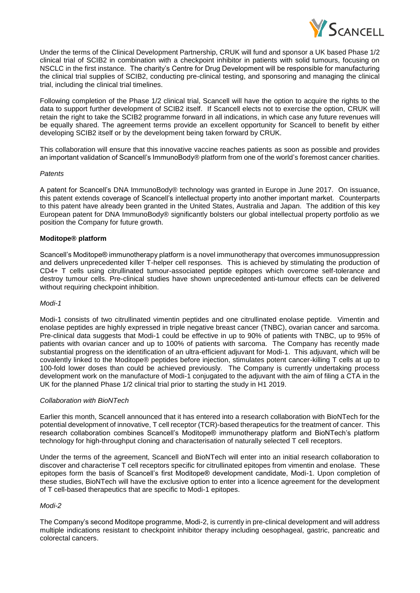

Under the terms of the Clinical Development Partnership, CRUK will fund and sponsor a UK based Phase 1/2 clinical trial of SCIB2 in combination with a checkpoint inhibitor in patients with solid tumours, focusing on NSCLC in the first instance. The charity's Centre for Drug Development will be responsible for manufacturing the clinical trial supplies of SCIB2, conducting pre-clinical testing, and sponsoring and managing the clinical trial, including the clinical trial timelines.

Following completion of the Phase 1/2 clinical trial, Scancell will have the option to acquire the rights to the data to support further development of SCIB2 itself. If Scancell elects not to exercise the option, CRUK will retain the right to take the SCIB2 programme forward in all indications, in which case any future revenues will be equally shared. The agreement terms provide an excellent opportunity for Scancell to benefit by either developing SCIB2 itself or by the development being taken forward by CRUK.

This collaboration will ensure that this innovative vaccine reaches patients as soon as possible and provides an important validation of Scancell's ImmunoBody® platform from one of the world's foremost cancer charities.

### *Patents*

A patent for Scancell's DNA ImmunoBody® technology was granted in Europe in June 2017. On issuance, this patent extends coverage of Scancell's intellectual property into another important market. Counterparts to this patent have already been granted in the United States, Australia and Japan. The addition of this key European patent for DNA ImmunoBody® significantly bolsters our global intellectual property portfolio as we position the Company for future growth.

# **Moditope® platform**

Scancell's Moditope® immunotherapy platform is a novel immunotherapy that overcomes immunosuppression and delivers unprecedented killer T-helper cell responses. This is achieved by stimulating the production of CD4+ T cells using citrullinated tumour-associated peptide epitopes which overcome self-tolerance and destroy tumour cells. Pre-clinical studies have shown unprecedented anti-tumour effects can be delivered without requiring checkpoint inhibition.

### *Modi-1*

Modi-1 consists of two citrullinated vimentin peptides and one citrullinated enolase peptide. Vimentin and enolase peptides are highly expressed in triple negative breast cancer (TNBC), ovarian cancer and sarcoma. Pre-clinical data suggests that Modi-1 could be effective in up to 90% of patients with TNBC, up to 95% of patients with ovarian cancer and up to 100% of patients with sarcoma. The Company has recently made substantial progress on the identification of an ultra-efficient adjuvant for Modi-1. This adjuvant, which will be covalently linked to the Moditope® peptides before injection, stimulates potent cancer-killing T cells at up to 100-fold lower doses than could be achieved previously. The Company is currently undertaking process development work on the manufacture of Modi-1 conjugated to the adjuvant with the aim of filing a CTA in the UK for the planned Phase 1/2 clinical trial prior to starting the study in H1 2019.

# *Collaboration with BioNTech*

Earlier this month, Scancell announced that it has entered into a research collaboration with BioNTech for the potential development of innovative, T cell receptor (TCR)-based therapeutics for the treatment of cancer. This research collaboration combines Scancell's Moditope® immunotherapy platform and BioNTech's platform technology for high-throughput cloning and characterisation of naturally selected T cell receptors.

Under the terms of the agreement, Scancell and BioNTech will enter into an initial research collaboration to discover and characterise T cell receptors specific for citrullinated epitopes from vimentin and enolase. These epitopes form the basis of Scancell's first Moditope® development candidate, Modi-1. Upon completion of these studies, BioNTech will have the exclusive option to enter into a licence agreement for the development of T cell-based therapeutics that are specific to Modi-1 epitopes.

# *Modi-2*

The Company's second Moditope programme, Modi-2, is currently in pre-clinical development and will address multiple indications resistant to checkpoint inhibitor therapy including oesophageal, gastric, pancreatic and colorectal cancers.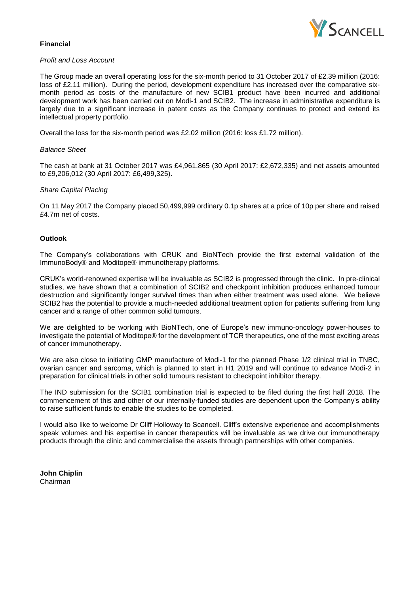

# **Financial**

# *Profit and Loss Account*

The Group made an overall operating loss for the six-month period to 31 October 2017 of £2.39 million (2016: loss of £2.11 million). During the period, development expenditure has increased over the comparative sixmonth period as costs of the manufacture of new SCIB1 product have been incurred and additional development work has been carried out on Modi-1 and SCIB2. The increase in administrative expenditure is largely due to a significant increase in patent costs as the Company continues to protect and extend its intellectual property portfolio.

Overall the loss for the six-month period was £2.02 million (2016: loss £1.72 million).

#### *Balance Sheet*

The cash at bank at 31 October 2017 was £4,961,865 (30 April 2017: £2,672,335) and net assets amounted to £9,206,012 (30 April 2017: £6,499,325).

### *Share Capital Placing*

On 11 May 2017 the Company placed 50,499,999 ordinary 0.1p shares at a price of 10p per share and raised £4.7m net of costs.

### **Outlook**

The Company's collaborations with CRUK and BioNTech provide the first external validation of the ImmunoBody® and Moditope® immunotherapy platforms.

CRUK's world-renowned expertise will be invaluable as SCIB2 is progressed through the clinic. In pre-clinical studies, we have shown that a combination of SCIB2 and checkpoint inhibition produces enhanced tumour destruction and significantly longer survival times than when either treatment was used alone. We believe SCIB2 has the potential to provide a much-needed additional treatment option for patients suffering from lung cancer and a range of other common solid tumours.

We are delighted to be working with BioNTech, one of Europe's new immuno-oncology power-houses to investigate the potential of Moditope® for the development of TCR therapeutics, one of the most exciting areas of cancer immunotherapy.

We are also close to initiating GMP manufacture of Modi-1 for the planned Phase 1/2 clinical trial in TNBC. ovarian cancer and sarcoma, which is planned to start in H1 2019 and will continue to advance Modi-2 in preparation for clinical trials in other solid tumours resistant to checkpoint inhibitor therapy.

The IND submission for the SCIB1 combination trial is expected to be filed during the first half 2018. The commencement of this and other of our internally-funded studies are dependent upon the Company's ability to raise sufficient funds to enable the studies to be completed.

I would also like to welcome Dr Cliff Holloway to Scancell. Cliff's extensive experience and accomplishments speak volumes and his expertise in cancer therapeutics will be invaluable as we drive our immunotherapy products through the clinic and commercialise the assets through partnerships with other companies.

**John Chiplin** Chairman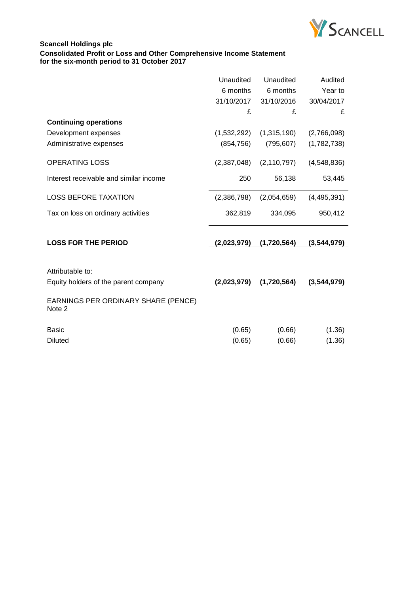

# **Scancell Holdings plc Consolidated Profit or Loss and Other Comprehensive Income Statement for the six-month period to 31 October 2017**

|                                                          | Unaudited<br>6 months<br>31/10/2017<br>£ | Unaudited<br>6 months<br>31/10/2016<br>£ | Audited<br>Year to<br>30/04/2017<br>£ |
|----------------------------------------------------------|------------------------------------------|------------------------------------------|---------------------------------------|
| <b>Continuing operations</b>                             |                                          |                                          |                                       |
| Development expenses                                     | (1,532,292)                              | (1,315,190)                              | (2,766,098)                           |
| Administrative expenses                                  | (854, 756)                               | (795, 607)                               | (1,782,738)                           |
| <b>OPERATING LOSS</b>                                    | (2,387,048)                              | (2, 110, 797)                            | (4,548,836)                           |
| Interest receivable and similar income                   | 250                                      | 56,138                                   | 53,445                                |
| <b>LOSS BEFORE TAXATION</b>                              | (2,386,798)                              | (2,054,659)                              | (4,495,391)                           |
| Tax on loss on ordinary activities                       | 362,819                                  | 334,095                                  | 950,412                               |
| <b>LOSS FOR THE PERIOD</b>                               | (2,023,979)                              | (1,720,564)                              | (3,544,979)                           |
| Attributable to:<br>Equity holders of the parent company | (2,023,979)                              | (1,720,564)                              | (3,544,979)                           |
| EARNINGS PER ORDINARY SHARE (PENCE)<br>Note 2            |                                          |                                          |                                       |
| <b>Basic</b>                                             | (0.65)                                   | (0.66)                                   | (1.36)                                |
| <b>Diluted</b>                                           | (0.65)                                   | (0.66)                                   | (1.36)                                |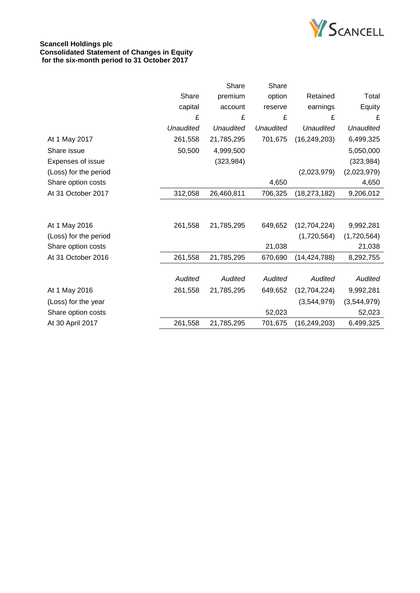

# **Scancell Holdings plc Consolidated Statement of Changes in Equity for the six-month period to 31 October 2017**

|                       |                  | Share          | Share            |                  |                  |
|-----------------------|------------------|----------------|------------------|------------------|------------------|
|                       | Share            | premium        | option           | Retained         | Total            |
|                       | capital          | account        | reserve          | earnings         | Equity           |
|                       | £                | £              | £                | £                | £                |
|                       | <b>Unaudited</b> | Unaudited      | <b>Unaudited</b> | <b>Unaudited</b> | <b>Unaudited</b> |
| At 1 May 2017         | 261,558          | 21,785,295     | 701,675          | (16, 249, 203)   | 6,499,325        |
| Share issue           | 50,500           | 4,999,500      |                  |                  | 5,050,000        |
| Expenses of issue     |                  | (323, 984)     |                  |                  | (323, 984)       |
| (Loss) for the period |                  |                |                  | (2,023,979)      | (2,023,979)      |
| Share option costs    |                  |                | 4,650            |                  | 4,650            |
| At 31 October 2017    | 312,058          | 26,460,811     | 706,325          | (18, 273, 182)   | 9,206,012        |
|                       |                  |                |                  |                  |                  |
| At 1 May 2016         | 261,558          | 21,785,295     | 649,652          | (12,704,224)     | 9,992,281        |
| (Loss) for the period |                  |                |                  | (1,720,564)      | (1,720,564)      |
| Share option costs    |                  |                | 21,038           |                  | 21,038           |
| At 31 October 2016    | 261,558          | 21,785,295     | 670,690          | (14, 424, 788)   | 8,292,755        |
|                       |                  |                |                  |                  |                  |
|                       | Audited          | <b>Audited</b> | Audited          | Audited          | Audited          |
| At 1 May 2016         | 261,558          | 21,785,295     | 649,652          | (12,704,224)     | 9,992,281        |
| (Loss) for the year   |                  |                |                  | (3,544,979)      | (3,544,979)      |
| Share option costs    |                  |                | 52,023           |                  | 52,023           |
| At 30 April 2017      | 261,558          | 21,785,295     | 701,675          | (16, 249, 203)   | 6,499,325        |
|                       |                  |                |                  |                  |                  |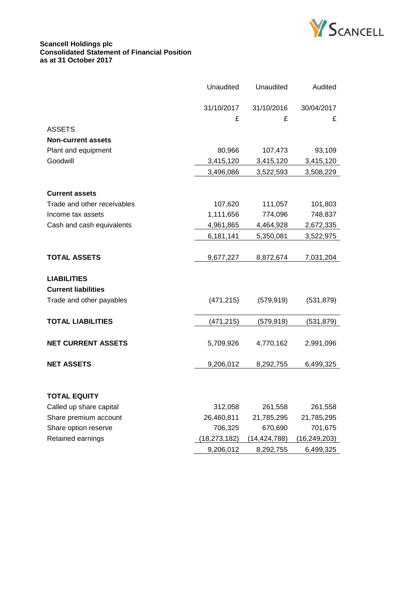

### **Scancell Holdings plc Consolidated Statement of Financial Position as at 31 October 2017**

|                             | <b>Unaudited</b> | Unaudited    | Audited      |
|-----------------------------|------------------|--------------|--------------|
|                             | 31/10/2017       | 31/10/2016   | 30/04/2017   |
|                             | £                | £            | £            |
| <b>ASSETS</b>               |                  |              |              |
| <b>Non-current assets</b>   |                  |              |              |
| Plant and equipment         | 80,966           | 107,473      | 93,109       |
| Goodwill                    | 3,415,120        | 3,415,120    | 3,415,120    |
|                             | 3,496,086        | 3,522,593    | 3,508,229    |
|                             |                  |              |              |
| <b>Current assets</b>       |                  |              |              |
| Trade and other receivables | 107,620          | 111,057      | 101,803      |
| Income tax assets           | 1,111,656        | 774,096      | 748,837      |
| Cash and cash equivalents   | 4,961,865        | 4,464,928    | 2,672,335    |
|                             | 6,181,141        | 5,350,081    | 3,522,975    |
|                             |                  |              |              |
| <b>TOTAL ASSETS</b>         | 9,677,227        | 8,872,674    | 7,031,204    |
|                             |                  |              |              |
| <b>LIABILITIES</b>          |                  |              |              |
| <b>Current liabilities</b>  |                  |              |              |
| Trade and other payables    | (471, 215)       | (579, 919)   | (531, 879)   |
| <b>TOTAL LIABILITIES</b>    | (471, 215)       | (579, 919)   | (531, 879)   |
|                             |                  |              |              |
| <b>NET CURRENT ASSETS</b>   | 5,709,926        | 4,770,162    | 2,991,096    |
|                             |                  |              |              |
| <b>NET ASSETS</b>           | 9,206,012        | 8,292,755    | 6,499,325    |
|                             |                  |              |              |
|                             |                  |              |              |
| <b>TOTAL EQUITY</b>         |                  |              |              |
| Called up share capital     | 312,058          | 261,558      | 261,558      |
| Share premium account       | 26,460,811       | 21,785,295   | 21,785,295   |
| Share option reserve        | 706,325          | 670,690      | 701,675      |
| Retained earnings           | (18,273,182)     | (14,424,788) | (16,249,203) |
|                             | 9,206,012        | 8,292,755    | 6,499,325    |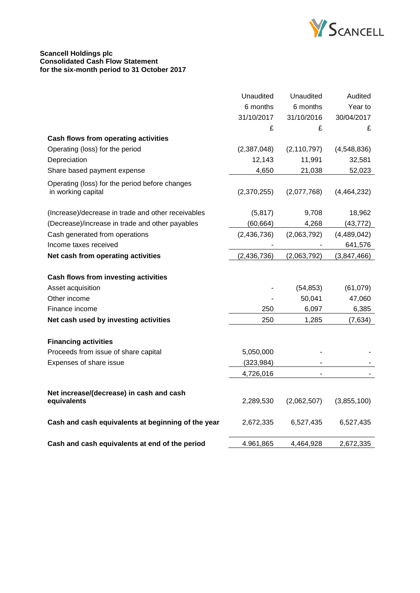

#### **Scancell Holdings plc Consolidated Cash Flow Statement for the six-month period to 31 October 2017**

|                                                         | Unaudited   | Unaudited     | Audited     |
|---------------------------------------------------------|-------------|---------------|-------------|
|                                                         | 6 months    | 6 months      | Year to     |
|                                                         | 31/10/2017  | 31/10/2016    | 30/04/2017  |
|                                                         | £           | £             | £           |
| Cash flows from operating activities                    |             |               |             |
| Operating (loss) for the period                         | (2,387,048) | (2, 110, 797) | (4,548,836) |
| Depreciation                                            | 12,143      | 11,991        | 32,581      |
| Share based payment expense                             | 4,650       | 21,038        | 52,023      |
| Operating (loss) for the period before changes          |             |               |             |
| in working capital                                      | (2,370,255) | (2,077,768)   | (4,464,232) |
| (Increase)/decrease in trade and other receivables      | (5, 817)    | 9,708         | 18,962      |
| (Decrease)/increase in trade and other payables         | (60, 664)   | 4,268         | (43, 772)   |
| Cash generated from operations                          | (2,436,736) | (2,063,792)   | (4,489,042) |
| Income taxes received                                   |             |               | 641,576     |
| Net cash from operating activities                      | (2,436,736) | (2,063,792)   | (3,847,466) |
| Cash flows from investing activities                    |             |               |             |
| Asset acquisition                                       |             | (54, 853)     | (61,079)    |
| Other income                                            |             | 50,041        | 47,060      |
| Finance income                                          | 250         | 6,097         | 6,385       |
| Net cash used by investing activities                   | 250         | 1,285         | (7,634)     |
| <b>Financing activities</b>                             |             |               |             |
| Proceeds from issue of share capital                    | 5,050,000   |               |             |
| Expenses of share issue                                 | (323, 984)  |               |             |
|                                                         | 4,726,016   |               |             |
| Net increase/(decrease) in cash and cash<br>equivalents | 2,289,530   | (2,062,507)   | (3,855,100) |
| Cash and cash equivalents at beginning of the year      | 2,672,335   | 6,527,435     | 6,527,435   |
| Cash and cash equivalents at end of the period          | 4.961,865   | 4,464,928     | 2,672,335   |